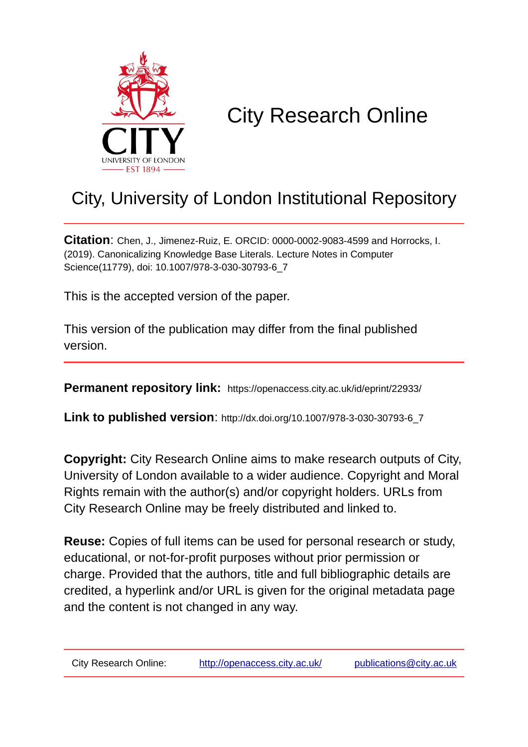

# City Research Online

# City, University of London Institutional Repository

**Citation**: Chen, J., Jimenez-Ruiz, E. ORCID: 0000-0002-9083-4599 and Horrocks, I. (2019). Canonicalizing Knowledge Base Literals. Lecture Notes in Computer Science(11779), doi: 10.1007/978-3-030-30793-6\_7

This is the accepted version of the paper.

This version of the publication may differ from the final published version.

**Permanent repository link:** https://openaccess.city.ac.uk/id/eprint/22933/

**Link to published version**: http://dx.doi.org/10.1007/978-3-030-30793-6\_7

**Copyright:** City Research Online aims to make research outputs of City, University of London available to a wider audience. Copyright and Moral Rights remain with the author(s) and/or copyright holders. URLs from City Research Online may be freely distributed and linked to.

**Reuse:** Copies of full items can be used for personal research or study, educational, or not-for-profit purposes without prior permission or charge. Provided that the authors, title and full bibliographic details are credited, a hyperlink and/or URL is given for the original metadata page and the content is not changed in any way.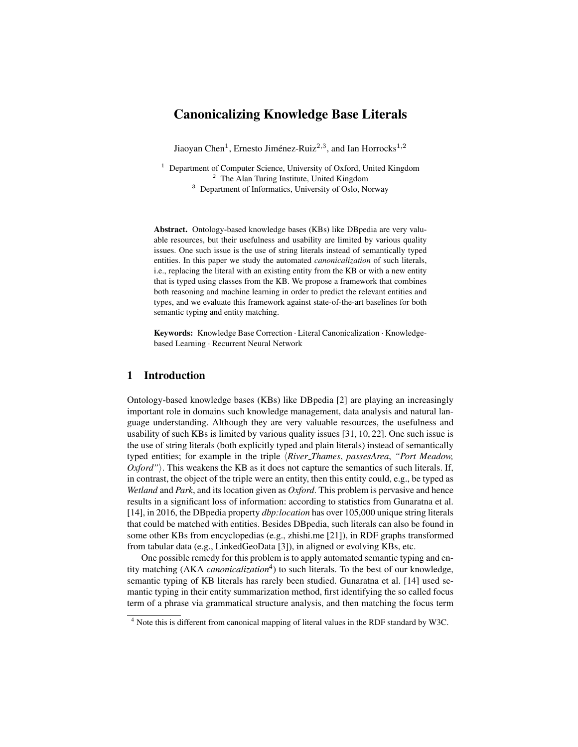# Canonicalizing Knowledge Base Literals

Jiaoyan Chen<sup>1</sup>, Ernesto Jiménez-Ruiz<sup>2,3</sup>, and Ian Horrocks<sup>1,2</sup>

<sup>1</sup> Department of Computer Science, University of Oxford, United Kingdom  $2$  The Alan Turing Institute, United Kingdom <sup>3</sup> Department of Informatics, University of Oslo, Norway

Abstract. Ontology-based knowledge bases (KBs) like DBpedia are very valuable resources, but their usefulness and usability are limited by various quality issues. One such issue is the use of string literals instead of semantically typed entities. In this paper we study the automated *canonicalization* of such literals, i.e., replacing the literal with an existing entity from the KB or with a new entity that is typed using classes from the KB. We propose a framework that combines both reasoning and machine learning in order to predict the relevant entities and types, and we evaluate this framework against state-of-the-art baselines for both semantic typing and entity matching.

Keywords: Knowledge Base Correction · Literal Canonicalization · Knowledgebased Learning · Recurrent Neural Network

# 1 Introduction

Ontology-based knowledge bases (KBs) like DBpedia [2] are playing an increasingly important role in domains such knowledge management, data analysis and natural language understanding. Although they are very valuable resources, the usefulness and usability of such KBs is limited by various quality issues [31, 10, 22]. One such issue is the use of string literals (both explicitly typed and plain literals) instead of semantically typed entities; for example in the triple  $\langle River\_Thomas, \textit{passesArea}, \textit{``Port Meadow}, \rangle$ *Oxford"*). This weakens the KB as it does not capture the semantics of such literals. If, in contrast, the object of the triple were an entity, then this entity could, e.g., be typed as *Wetland* and *Park*, and its location given as *Oxford*. This problem is pervasive and hence results in a significant loss of information: according to statistics from Gunaratna et al. [14], in 2016, the DBpedia property *dbp:location* has over 105,000 unique string literals that could be matched with entities. Besides DBpedia, such literals can also be found in some other KBs from encyclopedias (e.g., zhishi.me [21]), in RDF graphs transformed from tabular data (e.g., LinkedGeoData [3]), in aligned or evolving KBs, etc.

One possible remedy for this problem is to apply automated semantic typing and entity matching (AKA *canonicalization*<sup>4</sup>) to such literals. To the best of our knowledge, semantic typing of KB literals has rarely been studied. Gunaratna et al. [14] used semantic typing in their entity summarization method, first identifying the so called focus term of a phrase via grammatical structure analysis, and then matching the focus term

<sup>4</sup> Note this is different from canonical mapping of literal values in the RDF standard by W3C.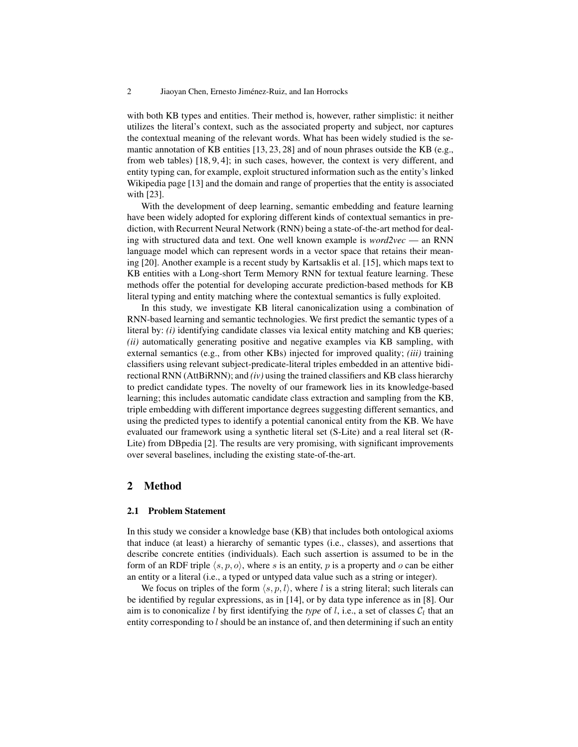with both KB types and entities. Their method is, however, rather simplistic: it neither utilizes the literal's context, such as the associated property and subject, nor captures the contextual meaning of the relevant words. What has been widely studied is the semantic annotation of KB entities [13, 23, 28] and of noun phrases outside the KB (e.g., from web tables) [18, 9, 4]; in such cases, however, the context is very different, and entity typing can, for example, exploit structured information such as the entity's linked Wikipedia page [13] and the domain and range of properties that the entity is associated with [23].

With the development of deep learning, semantic embedding and feature learning have been widely adopted for exploring different kinds of contextual semantics in prediction, with Recurrent Neural Network (RNN) being a state-of-the-art method for dealing with structured data and text. One well known example is *word2vec* — an RNN language model which can represent words in a vector space that retains their meaning [20]. Another example is a recent study by Kartsaklis et al. [15], which maps text to KB entities with a Long-short Term Memory RNN for textual feature learning. These methods offer the potential for developing accurate prediction-based methods for KB literal typing and entity matching where the contextual semantics is fully exploited.

In this study, we investigate KB literal canonicalization using a combination of RNN-based learning and semantic technologies. We first predict the semantic types of a literal by: *(i)* identifying candidate classes via lexical entity matching and KB queries; *(ii)* automatically generating positive and negative examples via KB sampling, with external semantics (e.g., from other KBs) injected for improved quality; *(iii)* training classifiers using relevant subject-predicate-literal triples embedded in an attentive bidirectional RNN (AttBiRNN); and *(iv)* using the trained classifiers and KB class hierarchy to predict candidate types. The novelty of our framework lies in its knowledge-based learning; this includes automatic candidate class extraction and sampling from the KB, triple embedding with different importance degrees suggesting different semantics, and using the predicted types to identify a potential canonical entity from the KB. We have evaluated our framework using a synthetic literal set (S-Lite) and a real literal set (R-Lite) from DBpedia [2]. The results are very promising, with significant improvements over several baselines, including the existing state-of-the-art.

#### 2 Method

#### 2.1 Problem Statement

In this study we consider a knowledge base (KB) that includes both ontological axioms that induce (at least) a hierarchy of semantic types (i.e., classes), and assertions that describe concrete entities (individuals). Each such assertion is assumed to be in the form of an RDF triple  $\langle s, p, o \rangle$ , where s is an entity, p is a property and o can be either an entity or a literal (i.e., a typed or untyped data value such as a string or integer).

We focus on triples of the form  $\langle s, p, l \rangle$ , where l is a string literal; such literals can be identified by regular expressions, as in [14], or by data type inference as in [8]. Our aim is to cononicalize  $l$  by first identifying the *type* of  $l$ , i.e., a set of classes  $C_l$  that an entity corresponding to  $l$  should be an instance of, and then determining if such an entity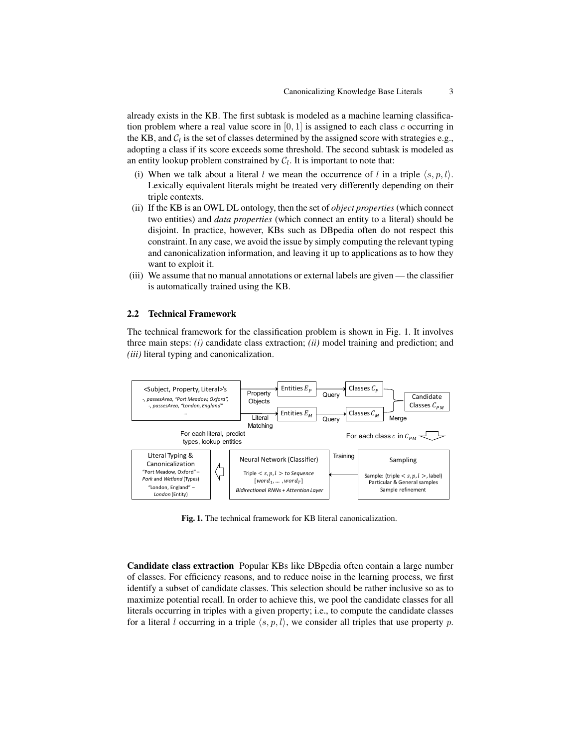already exists in the KB. The first subtask is modeled as a machine learning classification problem where a real value score in  $[0, 1]$  is assigned to each class c occurring in the KB, and  $C_l$  is the set of classes determined by the assigned score with strategies e.g., adopting a class if its score exceeds some threshold. The second subtask is modeled as an entity lookup problem constrained by  $C_l$ . It is important to note that:

- (i) When we talk about a literal l we mean the occurrence of l in a triple  $\langle s, p, l \rangle$ . Lexically equivalent literals might be treated very differently depending on their triple contexts.
- (ii) If the KB is an OWL DL ontology, then the set of *object properties* (which connect two entities) and *data properties* (which connect an entity to a literal) should be disjoint. In practice, however, KBs such as DBpedia often do not respect this constraint. In any case, we avoid the issue by simply computing the relevant typing and canonicalization information, and leaving it up to applications as to how they want to exploit it.
- (iii) We assume that no manual annotations or external labels are given the classifier is automatically trained using the KB.

#### 2.2 Technical Framework

The technical framework for the classification problem is shown in Fig. 1. It involves three main steps: *(i)* candidate class extraction; *(ii)* model training and prediction; and *(iii)* literal typing and canonicalization.



Fig. 1. The technical framework for KB literal canonicalization.

Candidate class extraction Popular KBs like DBpedia often contain a large number of classes. For efficiency reasons, and to reduce noise in the learning process, we first identify a subset of candidate classes. This selection should be rather inclusive so as to maximize potential recall. In order to achieve this, we pool the candidate classes for all literals occurring in triples with a given property; i.e., to compute the candidate classes for a literal l occurring in a triple  $\langle s, p, l \rangle$ , we consider all triples that use property p.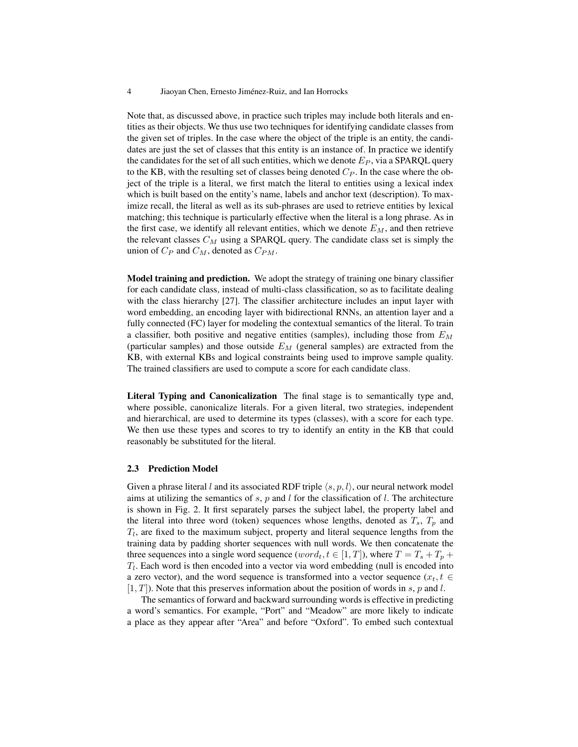#### 4 Jiaoyan Chen, Ernesto Jimenez-Ruiz, and Ian Horrocks ´

Note that, as discussed above, in practice such triples may include both literals and entities as their objects. We thus use two techniques for identifying candidate classes from the given set of triples. In the case where the object of the triple is an entity, the candidates are just the set of classes that this entity is an instance of. In practice we identify the candidates for the set of all such entities, which we denote  $E_P$ , via a SPARQL query to the KB, with the resulting set of classes being denoted  $C_P$ . In the case where the object of the triple is a literal, we first match the literal to entities using a lexical index which is built based on the entity's name, labels and anchor text (description). To maximize recall, the literal as well as its sub-phrases are used to retrieve entities by lexical matching; this technique is particularly effective when the literal is a long phrase. As in the first case, we identify all relevant entities, which we denote  $E_M$ , and then retrieve the relevant classes  $C_M$  using a SPARQL query. The candidate class set is simply the union of  $C_P$  and  $C_M$ , denoted as  $C_{PM}$ .

Model training and prediction. We adopt the strategy of training one binary classifier for each candidate class, instead of multi-class classification, so as to facilitate dealing with the class hierarchy [27]. The classifier architecture includes an input layer with word embedding, an encoding layer with bidirectional RNNs, an attention layer and a fully connected (FC) layer for modeling the contextual semantics of the literal. To train a classifier, both positive and negative entities (samples), including those from  $E_M$ (particular samples) and those outside  $E_M$  (general samples) are extracted from the KB, with external KBs and logical constraints being used to improve sample quality. The trained classifiers are used to compute a score for each candidate class.

Literal Typing and Canonicalization The final stage is to semantically type and, where possible, canonicalize literals. For a given literal, two strategies, independent and hierarchical, are used to determine its types (classes), with a score for each type. We then use these types and scores to try to identify an entity in the KB that could reasonably be substituted for the literal.

#### 2.3 Prediction Model

Given a phrase literal l and its associated RDF triple  $\langle s, p, l \rangle$ , our neural network model aims at utilizing the semantics of s, p and l for the classification of l. The architecture is shown in Fig. 2. It first separately parses the subject label, the property label and the literal into three word (token) sequences whose lengths, denoted as  $T_s$ ,  $T_p$  and  $T_l$ , are fixed to the maximum subject, property and literal sequence lengths from the training data by padding shorter sequences with null words. We then concatenate the three sequences into a single word sequence ( $word_t, t \in [1, T]$ ), where  $T = T_s + T_p + T_s$  $T_l$ . Each word is then encoded into a vector via word embedding (null is encoded into a zero vector), and the word sequence is transformed into a vector sequence ( $x_t, t \in$  $[1, T]$ ). Note that this preserves information about the position of words in s, p and l.

The semantics of forward and backward surrounding words is effective in predicting a word's semantics. For example, "Port" and "Meadow" are more likely to indicate a place as they appear after "Area" and before "Oxford". To embed such contextual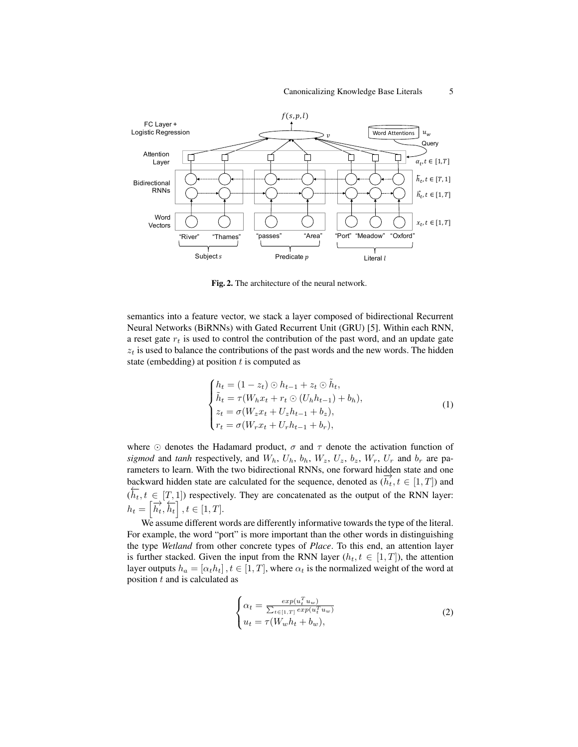

Fig. 2. The architecture of the neural network.

semantics into a feature vector, we stack a layer composed of bidirectional Recurrent Neural Networks (BiRNNs) with Gated Recurrent Unit (GRU) [5]. Within each RNN, a reset gate  $r_t$  is used to control the contribution of the past word, and an update gate  $z_t$  is used to balance the contributions of the past words and the new words. The hidden state (embedding) at position  $t$  is computed as

$$
\begin{cases}\nh_t = (1 - z_t) \odot h_{t-1} + z_t \odot \tilde{h}_t, \\
\tilde{h}_t = \tau(W_h x_t + r_t \odot (U_h h_{t-1}) + b_h), \\
z_t = \sigma(W_z x_t + U_z h_{t-1} + b_z), \\
r_t = \sigma(W_r x_t + U_r h_{t-1} + b_r),\n\end{cases} \tag{1}
$$

where  $\odot$  denotes the Hadamard product,  $\sigma$  and  $\tau$  denote the activation function of *sigmod* and *tanh* respectively, and  $W_h$ ,  $U_h$ ,  $b_h$ ,  $W_z$ ,  $U_z$ ,  $b_z$ ,  $W_r$ ,  $U_r$  and  $b_r$  are parameters to learn. With the two bidirectional RNNs, one forward hidden state and one backward hidden state are calculated for the sequence, denoted as  $(\vec{h}_t, t \in [1, T])$  and  $(\overline{h_t}, t \in [T, 1])$  respectively. They are concatenated as the output of the RNN layer:  $h_t = \left[\overrightarrow{h_t}, \overleftarrow{h_t}\right], t \in [1, T].$ 

We assume different words are differently informative towards the type of the literal. For example, the word "port" is more important than the other words in distinguishing the type *Wetland* from other concrete types of *Place*. To this end, an attention layer is further stacked. Given the input from the RNN layer  $(h_t, t \in [1, T])$ , the attention layer outputs  $h_a = [\alpha_t h_t], t \in [1, T]$ , where  $\alpha_t$  is the normalized weight of the word at position t and is calculated as

$$
\begin{cases}\n\alpha_t = \frac{exp(u_t^T u_w)}{\sum_{t \in [1,T]} exp(u_t^T u_w)} \\
u_t = \tau(W_w h_t + b_w),\n\end{cases}
$$
\n(2)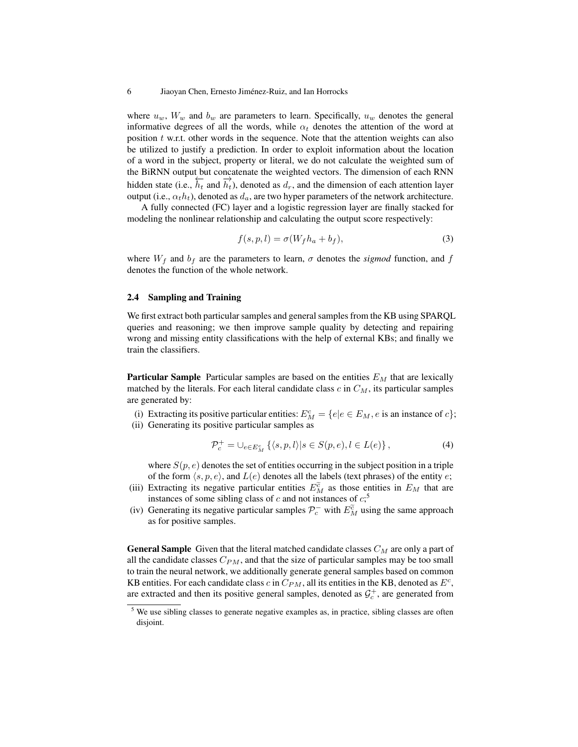where  $u_w$ ,  $W_w$  and  $b_w$  are parameters to learn. Specifically,  $u_w$  denotes the general informative degrees of all the words, while  $\alpha_t$  denotes the attention of the word at position  $t$  w.r.t. other words in the sequence. Note that the attention weights can also be utilized to justify a prediction. In order to exploit information about the location of a word in the subject, property or literal, we do not calculate the weighted sum of the BiRNN output but concatenate the weighted vectors. The dimension of each RNN hidden state (i.e.,  $\overline{h_t}$  and  $\overline{h_t}$ ), denoted as  $d_r$ , and the dimension of each attention layer output (i.e.,  $\alpha_t h_t$ ), denoted as  $d_a$ , are two hyper parameters of the network architecture.

A fully connected (FC) layer and a logistic regression layer are finally stacked for modeling the nonlinear relationship and calculating the output score respectively:

$$
f(s, p, l) = \sigma(W_f h_a + b_f),\tag{3}
$$

where  $W_f$  and  $b_f$  are the parameters to learn,  $\sigma$  denotes the *sigmod* function, and f denotes the function of the whole network.

#### 2.4 Sampling and Training

We first extract both particular samples and general samples from the KB using SPARQL queries and reasoning; we then improve sample quality by detecting and repairing wrong and missing entity classifications with the help of external KBs; and finally we train the classifiers.

**Particular Sample** Particular samples are based on the entities  $E_M$  that are lexically matched by the literals. For each literal candidate class  $c$  in  $C_M$ , its particular samples are generated by:

(i) Extracting its positive particular entities:  $E_M^c = \{e | e \in E_M, e \text{ is an instance of } c\};$ (ii) Generating its positive particular samples as

$$
\mathcal{P}_c^+ = \bigcup_{e \in E_M^c} \left\{ \langle s, p, l \rangle | s \in S(p, e), l \in L(e) \right\},\tag{4}
$$

where  $S(p, e)$  denotes the set of entities occurring in the subject position in a triple of the form  $\langle s, p, e \rangle$ , and  $L(e)$  denotes all the labels (text phrases) of the entity e;

- (iii) Extracting its negative particular entities  $E_M^{\tilde{c}}$  as those entities in  $E_M$  that are instances of some sibling class of  $c$  and not instances of  $c$ <sup>5</sup>;
- (iv) Generating its negative particular samples  $\mathcal{P}_c^-$  with  $E_M^{\tilde{c}}$  using the same approach as for positive samples.

**General Sample** Given that the literal matched candidate classes  $C_M$  are only a part of all the candidate classes  $C_{PM}$ , and that the size of particular samples may be too small to train the neural network, we additionally generate general samples based on common KB entities. For each candidate class c in  $C_{PM}$ , all its entities in the KB, denoted as  $E^c$ , are extracted and then its positive general samples, denoted as  $\mathcal{G}_c^+$ , are generated from

<sup>&</sup>lt;sup>5</sup> We use sibling classes to generate negative examples as, in practice, sibling classes are often disjoint.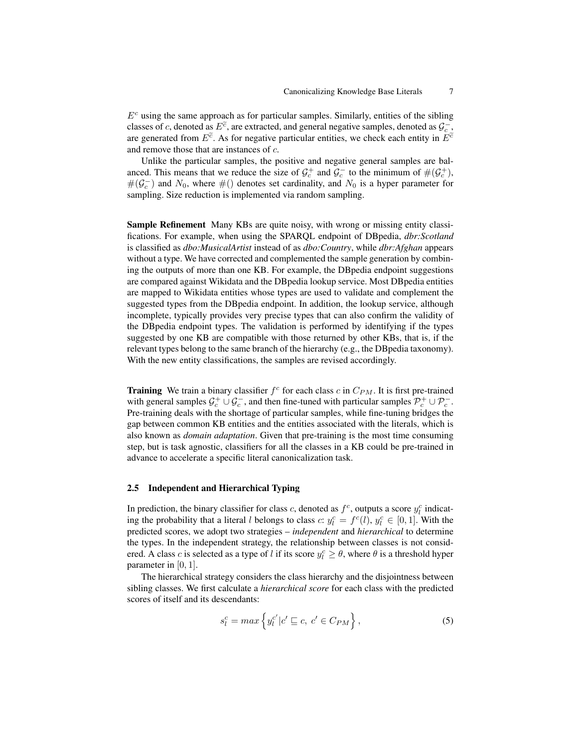$E<sup>c</sup>$  using the same approach as for particular samples. Similarly, entities of the sibling classes of c, denoted as  $E^{\widetilde{c}}$ , are extracted, and general negative samples, denoted as  $\mathcal{G}_{c}^{-}$ , are generated from  $E^{\tilde{c}}$ . As for negative particular entities, we check each entity in  $E^{\tilde{c}}$ and remove those that are instances of c.

Unlike the particular samples, the positive and negative general samples are balanced. This means that we reduce the size of  $\mathcal{G}_c^+$  and  $\mathcal{G}_c^-$  to the minimum of  $\#(\mathcal{G}_c^+)$ ,  $\#(\mathcal{G}_c^-)$  and  $N_0$ , where  $\#()$  denotes set cardinality, and  $N_0$  is a hyper parameter for sampling. Size reduction is implemented via random sampling.

Sample Refinement Many KBs are quite noisy, with wrong or missing entity classifications. For example, when using the SPARQL endpoint of DBpedia, *dbr:Scotland* is classified as *dbo:MusicalArtist* instead of as *dbo:Country*, while *dbr:Afghan* appears without a type. We have corrected and complemented the sample generation by combining the outputs of more than one KB. For example, the DBpedia endpoint suggestions are compared against Wikidata and the DBpedia lookup service. Most DBpedia entities are mapped to Wikidata entities whose types are used to validate and complement the suggested types from the DBpedia endpoint. In addition, the lookup service, although incomplete, typically provides very precise types that can also confirm the validity of the DBpedia endpoint types. The validation is performed by identifying if the types suggested by one KB are compatible with those returned by other KBs, that is, if the relevant types belong to the same branch of the hierarchy (e.g., the DBpedia taxonomy). With the new entity classifications, the samples are revised accordingly.

**Training** We train a binary classifier  $f^c$  for each class c in  $C_{PM}$ . It is first pre-trained with general samples  $\mathcal{G}_c^+ \cup \mathcal{G}_c^-$ , and then fine-tuned with particular samples  $\mathcal{P}_c^+ \cup \mathcal{P}_c^-$ . Pre-training deals with the shortage of particular samples, while fine-tuning bridges the gap between common KB entities and the entities associated with the literals, which is also known as *domain adaptation*. Given that pre-training is the most time consuming step, but is task agnostic, classifiers for all the classes in a KB could be pre-trained in advance to accelerate a specific literal canonicalization task.

#### 2.5 Independent and Hierarchical Typing

In prediction, the binary classifier for class c, denoted as  $f^c$ , outputs a score  $y_i^c$  indicating the probability that a literal l belongs to class  $c: y_l^c = f_c(t), y_l^c \in [0, 1]$ . With the predicted scores, we adopt two strategies – *independent* and *hierarchical* to determine the types. In the independent strategy, the relationship between classes is not considered. A class c is selected as a type of l if its score  $y_l^c \geq \theta$ , where  $\theta$  is a threshold hyper parameter in [0, 1].

The hierarchical strategy considers the class hierarchy and the disjointness between sibling classes. We first calculate a *hierarchical score* for each class with the predicted scores of itself and its descendants:

$$
s_l^c = \max\left\{ y_l^{c'} | c' \sqsubseteq c, \ c' \in C_{PM} \right\},\tag{5}
$$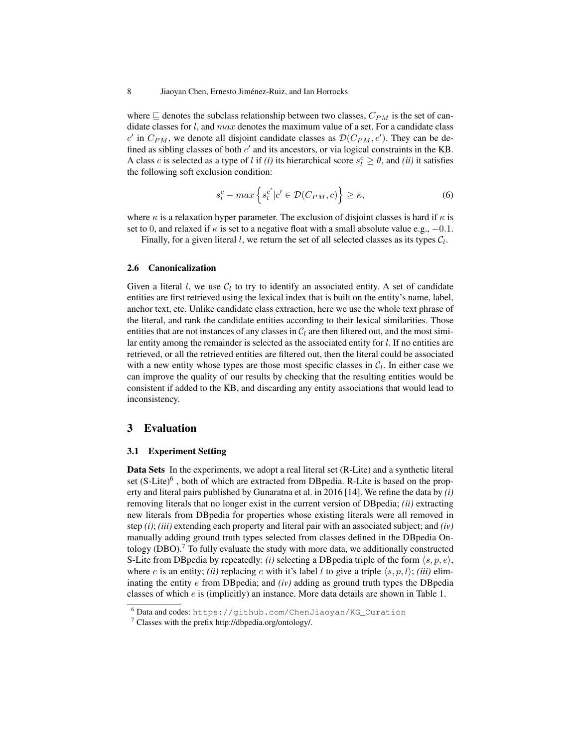where  $\subseteq$  denotes the subclass relationship between two classes,  $C_{PM}$  is the set of candidate classes for  $l$ , and  $max$  denotes the maximum value of a set. For a candidate class c' in  $C_{PM}$ , we denote all disjoint candidate classes as  $\mathcal{D}(C_{PM}, c')$ . They can be defined as sibling classes of both  $c'$  and its ancestors, or via logical constraints in the KB. A class c is selected as a type of l if (i) its hierarchical score  $s_l^c \geq \theta$ , and *(ii)* it satisfies the following soft exclusion condition:

$$
s_l^c - \max\left\{ s_l^{c'} | c' \in \mathcal{D}(C_{PM}, c) \right\} \ge \kappa,
$$
\n<sup>(6)</sup>

where  $\kappa$  is a relaxation hyper parameter. The exclusion of disjoint classes is hard if  $\kappa$  is set to 0, and relaxed if  $\kappa$  is set to a negative float with a small absolute value e.g.,  $-0.1$ .

Finally, for a given literal l, we return the set of all selected classes as its types  $C_l$ .

#### 2.6 Canonicalization

Given a literal l, we use  $C_l$  to try to identify an associated entity. A set of candidate entities are first retrieved using the lexical index that is built on the entity's name, label, anchor text, etc. Unlike candidate class extraction, here we use the whole text phrase of the literal, and rank the candidate entities according to their lexical similarities. Those entities that are not instances of any classes in  $C_l$  are then filtered out, and the most similar entity among the remainder is selected as the associated entity for  $l$ . If no entities are retrieved, or all the retrieved entities are filtered out, then the literal could be associated with a new entity whose types are those most specific classes in  $C_l$ . In either case we can improve the quality of our results by checking that the resulting entities would be consistent if added to the KB, and discarding any entity associations that would lead to inconsistency.

#### 3 Evaluation

#### 3.1 Experiment Setting

Data Sets In the experiments, we adopt a real literal set (R-Lite) and a synthetic literal set (S-Lite)<sup>6</sup>, both of which are extracted from DBpedia. R-Lite is based on the property and literal pairs published by Gunaratna et al. in 2016 [14]. We refine the data by *(i)* removing literals that no longer exist in the current version of DBpedia; *(ii)* extracting new literals from DBpedia for properties whose existing literals were all removed in step *(i)*; *(iii)* extending each property and literal pair with an associated subject; and *(iv)* manually adding ground truth types selected from classes defined in the DBpedia Ontology (DBO).<sup>7</sup> To fully evaluate the study with more data, we additionally constructed S-Lite from DB pedia by repeatedly: *(i)* selecting a DB pedia triple of the form  $\langle s, p, e \rangle$ , where e is an entity; *(ii)* replacing e with it's label l to give a triple  $\langle s, p, l \rangle$ ; *(iii)* eliminating the entity e from DBpedia; and *(iv)* adding as ground truth types the DBpedia classes of which  $e$  is (implicitly) an instance. More data details are shown in Table 1.

<sup>6</sup> Data and codes: https://github.com/ChenJiaoyan/KG\_Curation

 $7$  Classes with the prefix http://dbpedia.org/ontology/.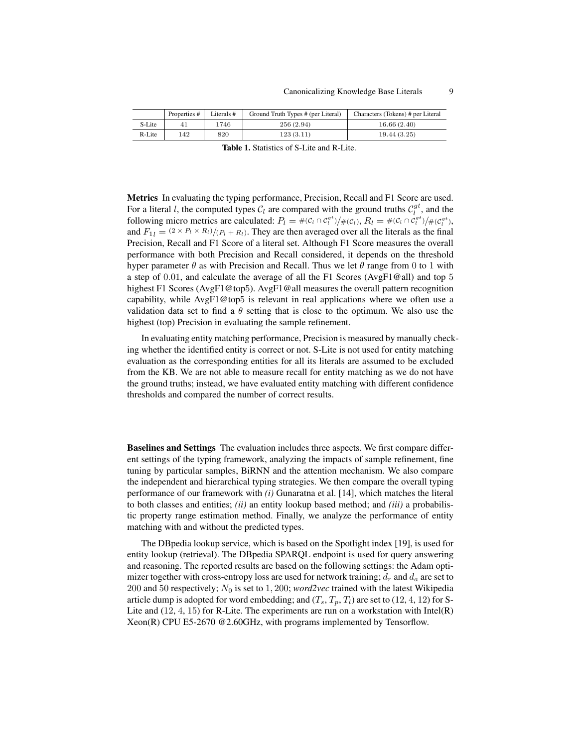|        | Properties # | Literals # | Ground Truth Types # (per Literal) | Characters (Tokens) # per Literal |
|--------|--------------|------------|------------------------------------|-----------------------------------|
| S-Lite |              | 1746       | 256(2.94)                          | 16.66(2.40)                       |
| R-Lite | 142          | 820        | 123(3.11)                          | 19.44(3.25)                       |

Table 1. Statistics of S-Lite and R-Lite.

Metrics In evaluating the typing performance, Precision, Recall and F1 Score are used. For a literal l, the computed types  $C_l$  are compared with the ground truths  $C_l^{gt}$ , and the following micro metrics are calculated:  $P_l = \#(\mathcal{C}_l \cap \mathcal{C}_l^{gt})/\#(\mathcal{C}_l)$ ,  $R_l = \#(\mathcal{C}_l \cap \mathcal{C}_l^{gt})/\#(\mathcal{C}_l^{gt})$ , and  $F_{1l} = \frac{(2 \times P_l \times R_l)}{(P_l + R_l)}$ . They are then averaged over all the literals as the final Precision, Recall and F1 Score of a literal set. Although F1 Score measures the overall performance with both Precision and Recall considered, it depends on the threshold hyper parameter  $\theta$  as with Precision and Recall. Thus we let  $\theta$  range from 0 to 1 with a step of 0.01, and calculate the average of all the F1 Scores (AvgF1@all) and top 5 highest F1 Scores (AvgF1@top5). AvgF1@all measures the overall pattern recognition capability, while AvgF1@top5 is relevant in real applications where we often use a validation data set to find a  $\theta$  setting that is close to the optimum. We also use the highest (top) Precision in evaluating the sample refinement.

In evaluating entity matching performance, Precision is measured by manually checking whether the identified entity is correct or not. S-Lite is not used for entity matching evaluation as the corresponding entities for all its literals are assumed to be excluded from the KB. We are not able to measure recall for entity matching as we do not have the ground truths; instead, we have evaluated entity matching with different confidence thresholds and compared the number of correct results.

Baselines and Settings The evaluation includes three aspects. We first compare different settings of the typing framework, analyzing the impacts of sample refinement, fine tuning by particular samples, BiRNN and the attention mechanism. We also compare the independent and hierarchical typing strategies. We then compare the overall typing performance of our framework with *(i)* Gunaratna et al. [14], which matches the literal to both classes and entities; *(ii)* an entity lookup based method; and *(iii)* a probabilistic property range estimation method. Finally, we analyze the performance of entity matching with and without the predicted types.

The DBpedia lookup service, which is based on the Spotlight index [19], is used for entity lookup (retrieval). The DBpedia SPARQL endpoint is used for query answering and reasoning. The reported results are based on the following settings: the Adam optimizer together with cross-entropy loss are used for network training;  $d_r$  and  $d_a$  are set to 200 and 50 respectively;  $N_0$  is set to 1, 200; *word2vec* trained with the latest Wikipedia article dump is adopted for word embedding; and  $(T_s, T_p, T_l)$  are set to (12, 4, 12) for S-Lite and  $(12, 4, 15)$  for R-Lite. The experiments are run on a workstation with Intel $(R)$ Xeon(R) CPU E5-2670 @2.60GHz, with programs implemented by Tensorflow.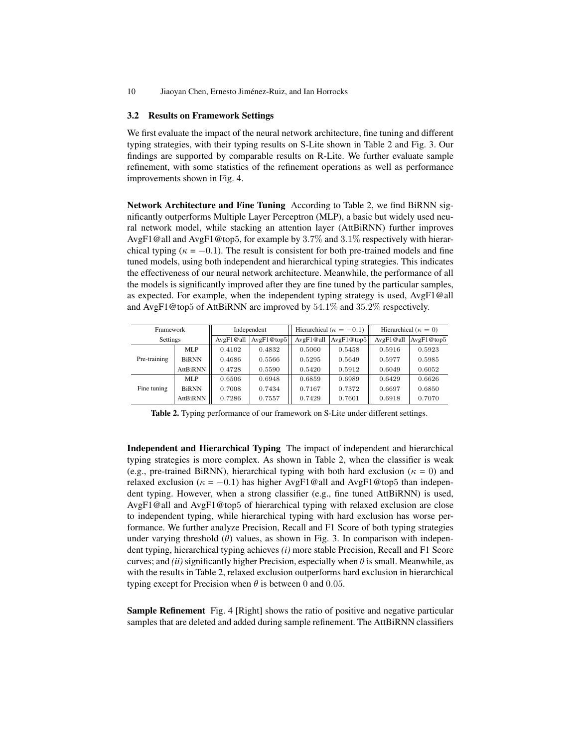10 Jiaoyan Chen, Ernesto Jiménez-Ruiz, and Ian Horrocks

#### 3.2 Results on Framework Settings

We first evaluate the impact of the neural network architecture, fine tuning and different typing strategies, with their typing results on S-Lite shown in Table 2 and Fig. 3. Our findings are supported by comparable results on R-Lite. We further evaluate sample refinement, with some statistics of the refinement operations as well as performance improvements shown in Fig. 4.

Network Architecture and Fine Tuning According to Table 2, we find BiRNN significantly outperforms Multiple Layer Perceptron (MLP), a basic but widely used neural network model, while stacking an attention layer (AttBiRNN) further improves AvgF1@all and AvgF1@top5, for example by 3.7% and 3.1% respectively with hierarchical typing ( $\kappa = -0.1$ ). The result is consistent for both pre-trained models and fine tuned models, using both independent and hierarchical typing strategies. This indicates the effectiveness of our neural network architecture. Meanwhile, the performance of all the models is significantly improved after they are fine tuned by the particular samples, as expected. For example, when the independent typing strategy is used, AvgF1@all and AvgF1@top5 of AttBiRNN are improved by 54.1% and 35.2% respectively.

| Framework    |              | Independent |            | Hierarchical ( $\kappa = -0.1$ ) |            | Hierarchical ( $\kappa = 0$ ) |            |
|--------------|--------------|-------------|------------|----------------------------------|------------|-------------------------------|------------|
| Settings     |              | AvgF1@all   | AvgF1@top5 | AvgF1@all                        | AvgF1@top5 | AveF1@all                     | AvgF1@top5 |
|              | MLP          | 0.4102      | 0.4832     | 0.5060                           | 0.5458     | 0.5916                        | 0.5923     |
| Pre-training | <b>BiRNN</b> | 0.4686      | 0.5566     | 0.5295                           | 0.5649     | 0.5977                        | 0.5985     |
|              | AttBiRNN     | 0.4728      | 0.5590     | 0.5420                           | 0.5912     | 0.6049                        | 0.6052     |
| Fine tuning  | MLP          | 0.6506      | 0.6948     | 0.6859                           | 0.6989     | 0.6429                        | 0.6626     |
|              | <b>BiRNN</b> | 0.7008      | 0.7434     | 0.7167                           | 0.7372     | 0.6697                        | 0.6850     |
|              | AttBiRNN     | 0.7286      | 0.7557     | 0.7429                           | 0.7601     | 0.6918                        | 0.7070     |

Table 2. Typing performance of our framework on S-Lite under different settings.

Independent and Hierarchical Typing The impact of independent and hierarchical typing strategies is more complex. As shown in Table 2, when the classifier is weak (e.g., pre-trained BiRNN), hierarchical typing with both hard exclusion ( $\kappa = 0$ ) and relaxed exclusion ( $\kappa = -0.1$ ) has higher AvgF1@all and AvgF1@top5 than independent typing. However, when a strong classifier (e.g., fine tuned AttBiRNN) is used, AvgF1@all and AvgF1@top5 of hierarchical typing with relaxed exclusion are close to independent typing, while hierarchical typing with hard exclusion has worse performance. We further analyze Precision, Recall and F1 Score of both typing strategies under varying threshold  $(\theta)$  values, as shown in Fig. 3. In comparison with independent typing, hierarchical typing achieves *(i)* more stable Precision, Recall and F1 Score curves; and *(ii)* significantly higher Precision, especially when  $\theta$  is small. Meanwhile, as with the results in Table 2, relaxed exclusion outperforms hard exclusion in hierarchical typing except for Precision when  $\theta$  is between 0 and 0.05.

Sample Refinement Fig. 4 [Right] shows the ratio of positive and negative particular samples that are deleted and added during sample refinement. The AttBiRNN classifiers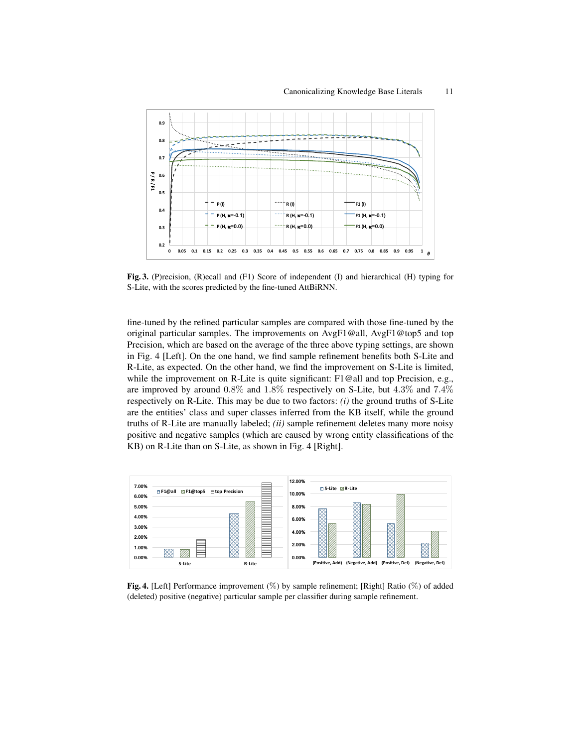

Fig. 3. (P)recision, (R)ecall and (F1) Score of independent (I) and hierarchical (H) typing for S-Lite, with the scores predicted by the fine-tuned AttBiRNN.

fine-tuned by the refined particular samples are compared with those fine-tuned by the original particular samples. The improvements on  $AvgF1@all$ ,  $AvgF1@top5$  and top Precision, which are based on the average of the three above typing settings, are shown in Fig. 4 [Left]. On the one hand, we find sample refinement benefits both S-Lite and R-Lite, as expected. On the other hand, we find the improvement on S-Lite is limited, while the improvement on R-Lite is quite significant: F1@all and top Precision, e.g., are improved by around 0.8% and 1.8% respectively on S-Lite, but 4.3% and 7.4% respectively on R-Lite. This may be due to two factors: *(i)* the ground truths of S-Lite are the entities' class and super classes inferred from the KB itself, while the ground truths of R-Lite are manually labeled; *(ii)* sample refinement deletes many more noisy positive and negative samples (which are caused by wrong entity classifications of the KB) on R-Lite than on S-Lite, as shown in Fig. 4 [Right].



Fig. 4. [Left] Performance improvement  $(\%)$  by sample refinement; [Right] Ratio  $(\%)$  of added (deleted) positive (negative) particular sample per classifier during sample refinement.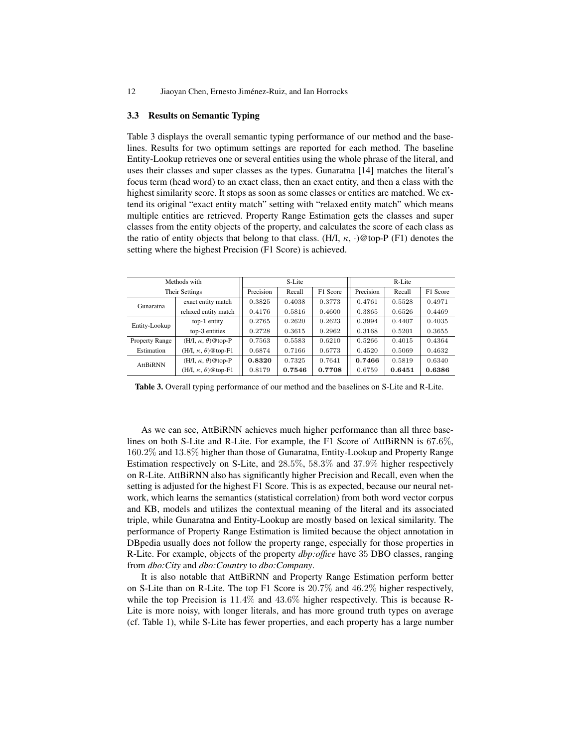#### 12 Jiaoyan Chen, Ernesto Jiménez-Ruiz, and Ian Horrocks

#### 3.3 Results on Semantic Typing

Table 3 displays the overall semantic typing performance of our method and the baselines. Results for two optimum settings are reported for each method. The baseline Entity-Lookup retrieves one or several entities using the whole phrase of the literal, and uses their classes and super classes as the types. Gunaratna [14] matches the literal's focus term (head word) to an exact class, then an exact entity, and then a class with the highest similarity score. It stops as soon as some classes or entities are matched. We extend its original "exact entity match" setting with "relaxed entity match" which means multiple entities are retrieved. Property Range Estimation gets the classes and super classes from the entity objects of the property, and calculates the score of each class as the ratio of entity objects that belong to that class. (H/I,  $\kappa$ ,  $\cdot$ )@top-P (F1) denotes the setting where the highest Precision (F1 Score) is achieved.

|                       | Methods with                      |           | S-Lite |          | $R-I$ ite |        |          |
|-----------------------|-----------------------------------|-----------|--------|----------|-----------|--------|----------|
| Their Settings        |                                   | Precision | Recall | F1 Score | Precision | Recall | F1 Score |
| Gunaratna             | exact entity match                | 0.3825    | 0.4038 | 0.3773   | 0.4761    | 0.5528 | 0.4971   |
|                       | relaxed entity match              | 0.4176    | 0.5816 | 0.4600   | 0.3865    | 0.6526 | 0.4469   |
| Entity-Lookup         | top-1 entity                      | 0.2765    | 0.2620 | 0.2623   | 0.3994    | 0.4407 | 0.4035   |
|                       | top-3 entities                    | 0.2728    | 0.3615 | 0.2962   | 0.3168    | 0.5201 | 0.3655   |
| <b>Property Range</b> | (H/I, $\kappa$ , $\theta$ )@top-P | 0.7563    | 0.5583 | 0.6210   | 0.5266    | 0.4015 | 0.4364   |
| Estimation            | $(H/I, \kappa, \theta)$ @top-F1   | 0.6874    | 0.7166 | 0.6773   | 0.4520    | 0.5069 | 0.4632   |
| AttBiRNN              | (H/I, $\kappa$ , $\theta$ )@top-P | 0.8320    | 0.7325 | 0.7641   | 0.7466    | 0.5819 | 0.6340   |
|                       | $(H/I, \kappa, \theta)$ @top-F1   | 0.8179    | 0.7546 | 0.7708   | 0.6759    | 0.6451 | 0.6386   |

Table 3. Overall typing performance of our method and the baselines on S-Lite and R-Lite.

As we can see, AttBiRNN achieves much higher performance than all three baselines on both S-Lite and R-Lite. For example, the F1 Score of AttBiRNN is 67.6%, 160.2% and 13.8% higher than those of Gunaratna, Entity-Lookup and Property Range Estimation respectively on S-Lite, and 28.5%, 58.3% and 37.9% higher respectively on R-Lite. AttBiRNN also has significantly higher Precision and Recall, even when the setting is adjusted for the highest F1 Score. This is as expected, because our neural network, which learns the semantics (statistical correlation) from both word vector corpus and KB, models and utilizes the contextual meaning of the literal and its associated triple, while Gunaratna and Entity-Lookup are mostly based on lexical similarity. The performance of Property Range Estimation is limited because the object annotation in DBpedia usually does not follow the property range, especially for those properties in R-Lite. For example, objects of the property *dbp:office* have 35 DBO classes, ranging from *dbo:City* and *dbo:Country* to *dbo:Company*.

It is also notable that AttBiRNN and Property Range Estimation perform better on S-Lite than on R-Lite. The top F1 Score is 20.7% and 46.2% higher respectively, while the top Precision is  $11.4\%$  and  $43.6\%$  higher respectively. This is because R-Lite is more noisy, with longer literals, and has more ground truth types on average (cf. Table 1), while S-Lite has fewer properties, and each property has a large number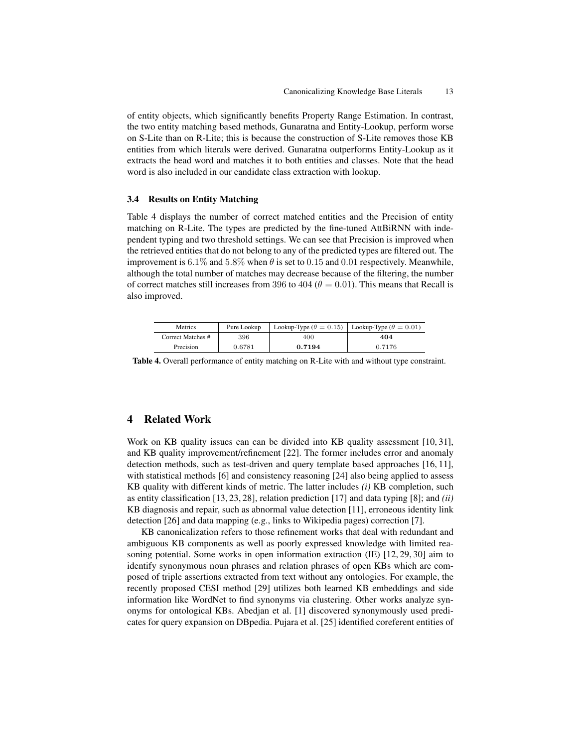of entity objects, which significantly benefits Property Range Estimation. In contrast, the two entity matching based methods, Gunaratna and Entity-Lookup, perform worse on S-Lite than on R-Lite; this is because the construction of S-Lite removes those KB entities from which literals were derived. Gunaratna outperforms Entity-Lookup as it extracts the head word and matches it to both entities and classes. Note that the head word is also included in our candidate class extraction with lookup.

#### 3.4 Results on Entity Matching

Table 4 displays the number of correct matched entities and the Precision of entity matching on R-Lite. The types are predicted by the fine-tuned AttBiRNN with independent typing and two threshold settings. We can see that Precision is improved when the retrieved entities that do not belong to any of the predicted types are filtered out. The improvement is  $6.1\%$  and  $5.8\%$  when  $\theta$  is set to 0.15 and 0.01 respectively. Meanwhile, although the total number of matches may decrease because of the filtering, the number of correct matches still increases from 396 to 404 ( $\theta = 0.01$ ). This means that Recall is also improved.

| <b>Metrics</b>    | Pure Lookup |        | Lookup-Type ( $\theta = 0.15$ )   Lookup-Type ( $\theta = 0.01$ ) |  |
|-------------------|-------------|--------|-------------------------------------------------------------------|--|
| Correct Matches # | 396         | 400    | 404                                                               |  |
| Precision         | 0.6781      | 0.7194 | 0.7176                                                            |  |

Table 4. Overall performance of entity matching on R-Lite with and without type constraint.

# 4 Related Work

Work on KB quality issues can can be divided into KB quality assessment [10, 31], and KB quality improvement/refinement [22]. The former includes error and anomaly detection methods, such as test-driven and query template based approaches [16, 11], with statistical methods [6] and consistency reasoning [24] also being applied to assess KB quality with different kinds of metric. The latter includes *(i)* KB completion, such as entity classification [13, 23, 28], relation prediction [17] and data typing [8]; and *(ii)* KB diagnosis and repair, such as abnormal value detection [11], erroneous identity link detection [26] and data mapping (e.g., links to Wikipedia pages) correction [7].

KB canonicalization refers to those refinement works that deal with redundant and ambiguous KB components as well as poorly expressed knowledge with limited reasoning potential. Some works in open information extraction (IE) [12, 29, 30] aim to identify synonymous noun phrases and relation phrases of open KBs which are composed of triple assertions extracted from text without any ontologies. For example, the recently proposed CESI method [29] utilizes both learned KB embeddings and side information like WordNet to find synonyms via clustering. Other works analyze synonyms for ontological KBs. Abedjan et al. [1] discovered synonymously used predicates for query expansion on DBpedia. Pujara et al. [25] identified coreferent entities of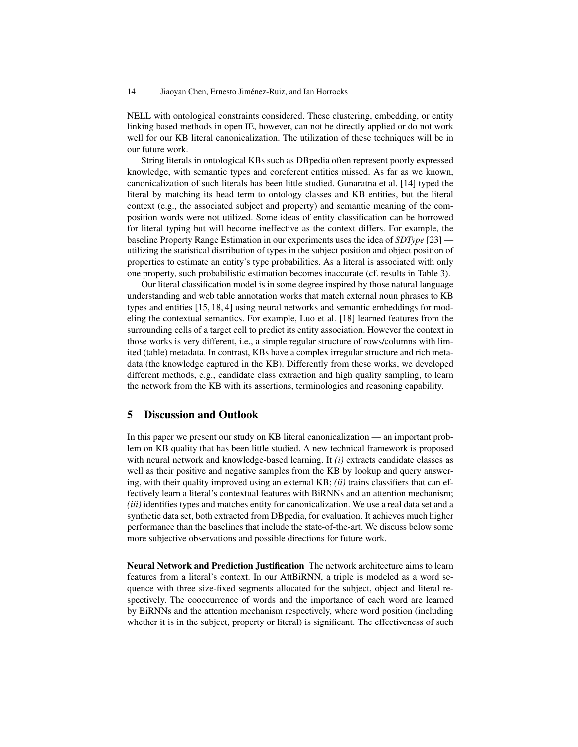#### 14 Jiaoyan Chen, Ernesto Jimenez-Ruiz, and Ian Horrocks ´

NELL with ontological constraints considered. These clustering, embedding, or entity linking based methods in open IE, however, can not be directly applied or do not work well for our KB literal canonicalization. The utilization of these techniques will be in our future work.

String literals in ontological KBs such as DBpedia often represent poorly expressed knowledge, with semantic types and coreferent entities missed. As far as we known, canonicalization of such literals has been little studied. Gunaratna et al. [14] typed the literal by matching its head term to ontology classes and KB entities, but the literal context (e.g., the associated subject and property) and semantic meaning of the composition words were not utilized. Some ideas of entity classification can be borrowed for literal typing but will become ineffective as the context differs. For example, the baseline Property Range Estimation in our experiments uses the idea of *SDType* [23] utilizing the statistical distribution of types in the subject position and object position of properties to estimate an entity's type probabilities. As a literal is associated with only one property, such probabilistic estimation becomes inaccurate (cf. results in Table 3).

Our literal classification model is in some degree inspired by those natural language understanding and web table annotation works that match external noun phrases to KB types and entities [15, 18, 4] using neural networks and semantic embeddings for modeling the contextual semantics. For example, Luo et al. [18] learned features from the surrounding cells of a target cell to predict its entity association. However the context in those works is very different, i.e., a simple regular structure of rows/columns with limited (table) metadata. In contrast, KBs have a complex irregular structure and rich metadata (the knowledge captured in the KB). Differently from these works, we developed different methods, e.g., candidate class extraction and high quality sampling, to learn the network from the KB with its assertions, terminologies and reasoning capability.

#### 5 Discussion and Outlook

In this paper we present our study on KB literal canonicalization — an important problem on KB quality that has been little studied. A new technical framework is proposed with neural network and knowledge-based learning. It *(i)* extracts candidate classes as well as their positive and negative samples from the KB by lookup and query answering, with their quality improved using an external KB; *(ii)* trains classifiers that can effectively learn a literal's contextual features with BiRNNs and an attention mechanism; *(iii)* identifies types and matches entity for canonicalization. We use a real data set and a synthetic data set, both extracted from DBpedia, for evaluation. It achieves much higher performance than the baselines that include the state-of-the-art. We discuss below some more subjective observations and possible directions for future work.

Neural Network and Prediction Justification The network architecture aims to learn features from a literal's context. In our AttBiRNN, a triple is modeled as a word sequence with three size-fixed segments allocated for the subject, object and literal respectively. The cooccurrence of words and the importance of each word are learned by BiRNNs and the attention mechanism respectively, where word position (including whether it is in the subject, property or literal) is significant. The effectiveness of such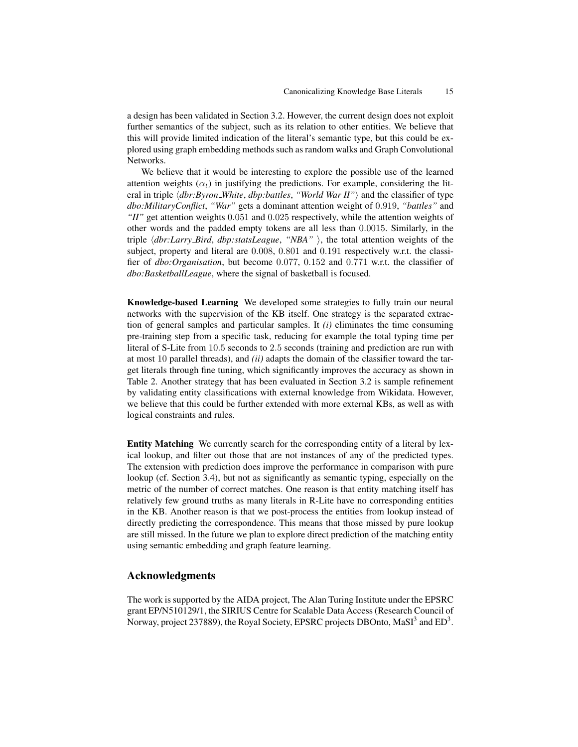a design has been validated in Section 3.2. However, the current design does not exploit further semantics of the subject, such as its relation to other entities. We believe that this will provide limited indication of the literal's semantic type, but this could be explored using graph embedding methods such as random walks and Graph Convolutional Networks.

We believe that it would be interesting to explore the possible use of the learned attention weights ( $\alpha_t$ ) in justifying the predictions. For example, considering the literal in triple  $\langle$ *dbr:Byron\_White*, *dbp:battles*, "World War II") and the classifier of type *dbo:MilitaryConflict*, *"War"* gets a dominant attention weight of 0.919, *"battles"* and *"II"* get attention weights 0.051 and 0.025 respectively, while the attention weights of other words and the padded empty tokens are all less than 0.0015. Similarly, in the triple  $\langle$ *dbr:Larry\_Bird, dbp:statsLeague, "NBA"*  $\rangle$ , the total attention weights of the subject, property and literal are 0.008, 0.801 and 0.191 respectively w.r.t. the classifier of *dbo:Organisation*, but become 0.077, 0.152 and 0.771 w.r.t. the classifier of *dbo:BasketballLeague*, where the signal of basketball is focused.

Knowledge-based Learning We developed some strategies to fully train our neural networks with the supervision of the KB itself. One strategy is the separated extraction of general samples and particular samples. It *(i)* eliminates the time consuming pre-training step from a specific task, reducing for example the total typing time per literal of S-Lite from 10.5 seconds to 2.5 seconds (training and prediction are run with at most 10 parallel threads), and *(ii)* adapts the domain of the classifier toward the target literals through fine tuning, which significantly improves the accuracy as shown in Table 2. Another strategy that has been evaluated in Section 3.2 is sample refinement by validating entity classifications with external knowledge from Wikidata. However, we believe that this could be further extended with more external KBs, as well as with logical constraints and rules.

Entity Matching We currently search for the corresponding entity of a literal by lexical lookup, and filter out those that are not instances of any of the predicted types. The extension with prediction does improve the performance in comparison with pure lookup (cf. Section 3.4), but not as significantly as semantic typing, especially on the metric of the number of correct matches. One reason is that entity matching itself has relatively few ground truths as many literals in R-Lite have no corresponding entities in the KB. Another reason is that we post-process the entities from lookup instead of directly predicting the correspondence. This means that those missed by pure lookup are still missed. In the future we plan to explore direct prediction of the matching entity using semantic embedding and graph feature learning.

## Acknowledgments

The work is supported by the AIDA project, The Alan Turing Institute under the EPSRC grant EP/N510129/1, the SIRIUS Centre for Scalable Data Access (Research Council of Norway, project 237889), the Royal Society, EPSRC projects DBOnto,  $\mathrm{MaSi}^3$  and  $\mathrm{ED}^3$ .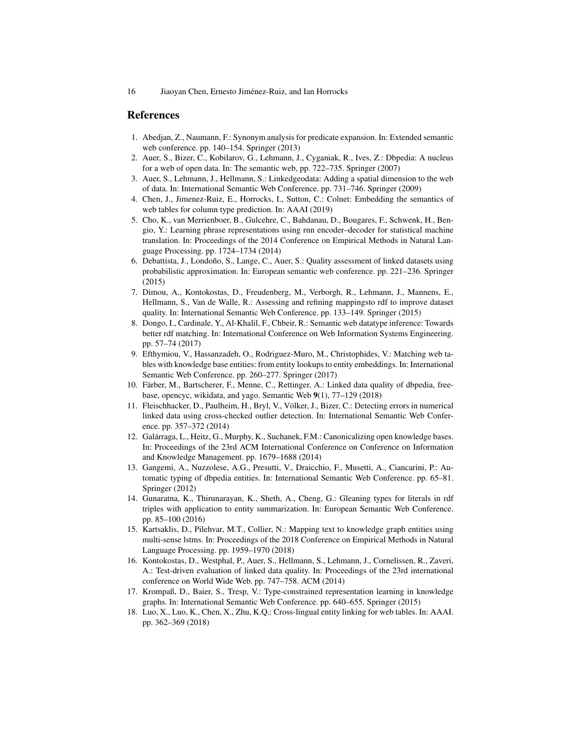## References

- 1. Abedjan, Z., Naumann, F.: Synonym analysis for predicate expansion. In: Extended semantic web conference. pp. 140–154. Springer (2013)
- 2. Auer, S., Bizer, C., Kobilarov, G., Lehmann, J., Cyganiak, R., Ives, Z.: Dbpedia: A nucleus for a web of open data. In: The semantic web, pp. 722–735. Springer (2007)
- 3. Auer, S., Lehmann, J., Hellmann, S.: Linkedgeodata: Adding a spatial dimension to the web of data. In: International Semantic Web Conference. pp. 731–746. Springer (2009)
- 4. Chen, J., Jimenez-Ruiz, E., Horrocks, I., Sutton, C.: Colnet: Embedding the semantics of web tables for column type prediction. In: AAAI (2019)
- 5. Cho, K., van Merrienboer, B., Gulcehre, C., Bahdanau, D., Bougares, F., Schwenk, H., Bengio, Y.: Learning phrase representations using rnn encoder–decoder for statistical machine translation. In: Proceedings of the 2014 Conference on Empirical Methods in Natural Language Processing. pp. 1724–1734 (2014)
- 6. Debattista, J., Londoño, S., Lange, C., Auer, S.: Quality assessment of linked datasets using probabilistic approximation. In: European semantic web conference. pp. 221–236. Springer (2015)
- 7. Dimou, A., Kontokostas, D., Freudenberg, M., Verborgh, R., Lehmann, J., Mannens, E., Hellmann, S., Van de Walle, R.: Assessing and refining mappingsto rdf to improve dataset quality. In: International Semantic Web Conference. pp. 133–149. Springer (2015)
- 8. Dongo, I., Cardinale, Y., Al-Khalil, F., Chbeir, R.: Semantic web datatype inference: Towards better rdf matching. In: International Conference on Web Information Systems Engineering. pp. 57–74 (2017)
- 9. Efthymiou, V., Hassanzadeh, O., Rodriguez-Muro, M., Christophides, V.: Matching web tables with knowledge base entities: from entity lookups to entity embeddings. In: International Semantic Web Conference. pp. 260–277. Springer (2017)
- 10. Färber, M., Bartscherer, F., Menne, C., Rettinger, A.: Linked data quality of dbpedia, freebase, opencyc, wikidata, and yago. Semantic Web 9(1), 77–129 (2018)
- 11. Fleischhacker, D., Paulheim, H., Bryl, V., Volker, J., Bizer, C.: Detecting errors in numerical ¨ linked data using cross-checked outlier detection. In: International Semantic Web Conference. pp. 357–372 (2014)
- 12. Galarraga, L., Heitz, G., Murphy, K., Suchanek, F.M.: Canonicalizing open knowledge bases. ´ In: Proceedings of the 23rd ACM International Conference on Conference on Information and Knowledge Management. pp. 1679–1688 (2014)
- 13. Gangemi, A., Nuzzolese, A.G., Presutti, V., Draicchio, F., Musetti, A., Ciancarini, P.: Automatic typing of dbpedia entities. In: International Semantic Web Conference. pp. 65–81. Springer (2012)
- 14. Gunaratna, K., Thirunarayan, K., Sheth, A., Cheng, G.: Gleaning types for literals in rdf triples with application to entity summarization. In: European Semantic Web Conference. pp. 85–100 (2016)
- 15. Kartsaklis, D., Pilehvar, M.T., Collier, N.: Mapping text to knowledge graph entities using multi-sense lstms. In: Proceedings of the 2018 Conference on Empirical Methods in Natural Language Processing. pp. 1959–1970 (2018)
- 16. Kontokostas, D., Westphal, P., Auer, S., Hellmann, S., Lehmann, J., Cornelissen, R., Zaveri, A.: Test-driven evaluation of linked data quality. In: Proceedings of the 23rd international conference on World Wide Web. pp. 747–758. ACM (2014)
- 17. Krompaß, D., Baier, S., Tresp, V.: Type-constrained representation learning in knowledge graphs. In: International Semantic Web Conference. pp. 640–655. Springer (2015)
- 18. Luo, X., Luo, K., Chen, X., Zhu, K.Q.: Cross-lingual entity linking for web tables. In: AAAI. pp. 362–369 (2018)